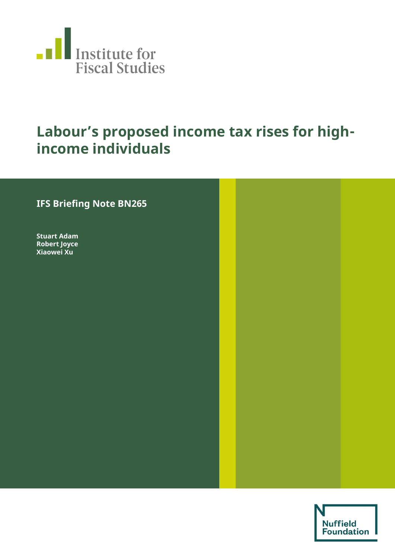

# **Labour's proposed income tax rises for highincome individuals**

## **IFS Briefing Note BN265**

**Stuart Adam Robert Joyce Xiaowei Xu** 

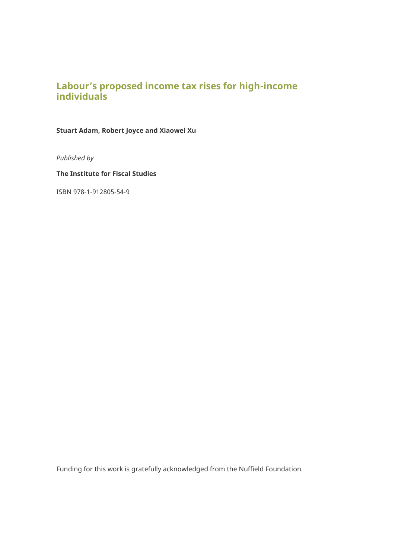## **Labour's proposed income tax rises for high-income individuals**

**Stuart Adam, Robert Joyce and Xiaowei Xu** 

*Published by* 

**The Institute for Fiscal Studies** 

ISBN 978-1-912805-54-9

Funding for this work is gratefully acknowledged from the Nuffield Foundation.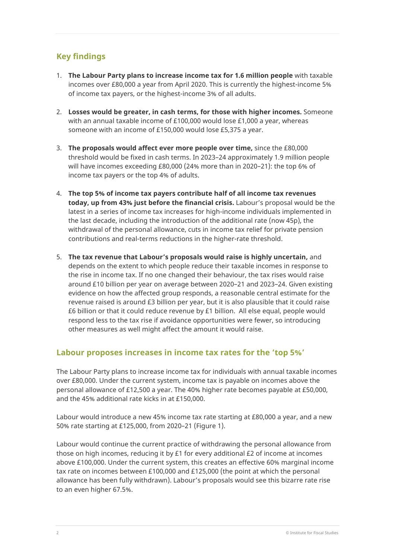## **Key findings**

- 1. **The Labour Party plans to increase income tax for 1.6 million people** with taxable incomes over £80,000 a year from April 2020. This is currently the highest-income 5% of income tax payers, or the highest-income 3% of all adults.
- 2. **Losses would be greater, in cash terms, for those with higher incomes.** Someone with an annual taxable income of £100,000 would lose £1,000 a year, whereas someone with an income of £150,000 would lose £5,375 a year.
- 3. **The proposals would affect ever more people over time,** since the £80,000 threshold would be fixed in cash terms. In 2023–24 approximately 1.9 million people will have incomes exceeding £80,000 (24% more than in 2020–21): the top 6% of income tax payers or the top 4% of adults.
- 4. **The top 5% of income tax payers contribute half of all income tax revenues today, up from 43% just before the financial crisis.** Labour's proposal would be the latest in a series of income tax increases for high-income individuals implemented in the last decade, including the introduction of the additional rate (now 45p), the withdrawal of the personal allowance, cuts in income tax relief for private pension contributions and real-terms reductions in the higher-rate threshold.
- 5. **The tax revenue that Labour's proposals would raise is highly uncertain,** and depends on the extent to which people reduce their taxable incomes in response to the rise in income tax. If no one changed their behaviour, the tax rises would raise around £10 billion per year on average between 2020–21 and 2023–24. Given existing evidence on how the affected group responds, a reasonable central estimate for the revenue raised is around £3 billion per year, but it is also plausible that it could raise £6 billion or that it could reduce revenue by £1 billion. All else equal, people would respond less to the tax rise if avoidance opportunities were fewer, so introducing other measures as well might affect the amount it would raise.

#### **Labour proposes increases in income tax rates for the 'top 5%'**

The Labour Party plans to increase income tax for individuals with annual taxable incomes over £80,000. Under the current system, income tax is payable on incomes above the personal allowance of £12,500 a year. The 40% higher rate becomes payable at £50,000, and the 45% additional rate kicks in at £150,000.

Labour would introduce a new 45% income tax rate starting at £80,000 a year, and a new 50% rate starting at £125,000, from 2020–21 (Figure 1).

Labour would continue the current practice of withdrawing the personal allowance from those on high incomes, reducing it by £1 for every additional £2 of income at incomes above £100,000. Under the current system, this creates an effective 60% marginal income tax rate on incomes between £100,000 and £125,000 (the point at which the personal allowance has been fully withdrawn). Labour's proposals would see this bizarre rate rise to an even higher 67.5%.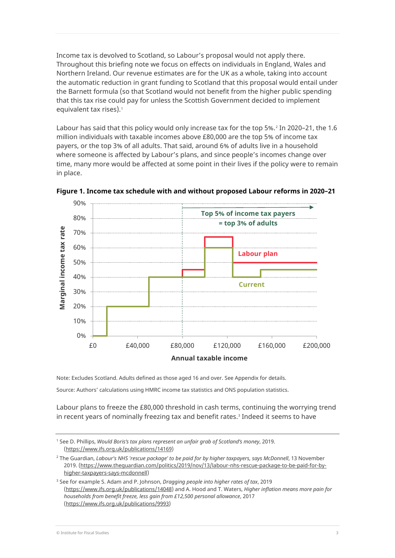Income tax is devolved to Scotland, so Labour's proposal would not apply there. Throughout this briefing note we focus on effects on individuals in England, Wales and Northern Ireland. Our revenue estimates are for the UK as a whole, taking into account the automatic reduction in grant funding to Scotland that this proposal would entail under the Barnett formula (so that Scotland would not benefit from the higher public spending that this tax rise could pay for unless the Scottish Government decided to implement equivalent tax rises).<sup>[1](#page-3-0)</sup>

Labour has said that this policy would only increase tax for the top 5%.<sup>[2](#page-3-1)</sup> In 2020–21, the 1.6 million individuals with taxable incomes above £80,000 are the top 5% of income tax payers, or the top 3% of all adults. That said, around 6% of adults live in a household where someone is affected by Labour's plans, and since people's incomes change over time, many more would be affected at some point in their lives if the policy were to remain in place.



**Figure 1. Income tax schedule with and without proposed Labour reforms in 2020–21**

Note: Excludes Scotland. Adults defined as those aged 16 and over. See Appendix for details.

Source: Authors' calculations using HMRC income tax statistics and ONS population statistics.

Labour plans to freeze the £80,000 threshold in cash terms, continuing the worrying trend in recent years of nominally freezing tax and benefit rates.<sup>[3](#page-3-2)</sup> Indeed it seems to have

<span id="page-3-0"></span><sup>1</sup> See D. Phillips, *Would Boris's tax plans represent an unfair grab of Scotland's money*, 2019. [\(https://www.ifs.org.uk/publications/14169\)](https://www.ifs.org.uk/publications/14169)

<span id="page-3-1"></span><sup>&</sup>lt;sup>2</sup> The Guardian, *Labour's NHS 'rescue package' to be paid for by higher taxpayers, says McDonnell, 13 November* 2019. [\(https://www.theguardian.com/politics/2019/nov/13/labour-nhs-rescue-package-to-be-paid-for-by](https://www.theguardian.com/politics/2019/nov/13/labour-nhs-rescue-package-to-be-paid-for-by-higher-taxpayers-says-mcdonnell)[higher-taxpayers-says-mcdonnell\)](https://www.theguardian.com/politics/2019/nov/13/labour-nhs-rescue-package-to-be-paid-for-by-higher-taxpayers-says-mcdonnell)

<span id="page-3-2"></span><sup>3</sup> See for example S. Adam and P. Johnson, *Dragging people into higher rates of tax*, 2019 [\(https://www.ifs.org.uk/publications/14048\)](https://www.ifs.org.uk/publications/14048) and A. Hood and T. Waters, *Higher inflation means more pain for households from benefit freeze, less gain from £12,500 personal allowance*, 2017 [\(https://www.ifs.org.uk/publications/9993\)](https://www.ifs.org.uk/publications/9993)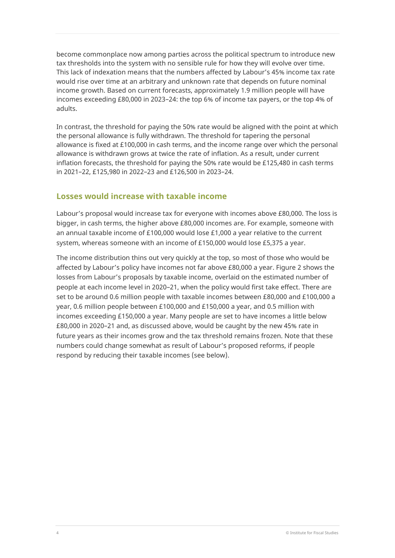become commonplace now among parties across the political spectrum to introduce new tax thresholds into the system with no sensible rule for how they will evolve over time. This lack of indexation means that the numbers affected by Labour's 45% income tax rate would rise over time at an arbitrary and unknown rate that depends on future nominal income growth. Based on current forecasts, approximately 1.9 million people will have incomes exceeding £80,000 in 2023–24: the top 6% of income tax payers, or the top 4% of adults.

In contrast, the threshold for paying the 50% rate would be aligned with the point at which the personal allowance is fully withdrawn. The threshold for tapering the personal allowance is fixed at £100,000 in cash terms, and the income range over which the personal allowance is withdrawn grows at twice the rate of inflation. As a result, under current inflation forecasts, the threshold for paying the 50% rate would be £125,480 in cash terms in 2021–22, £125,980 in 2022–23 and £126,500 in 2023–24.

#### **Losses would increase with taxable income**

Labour's proposal would increase tax for everyone with incomes above £80,000. The loss is bigger, in cash terms, the higher above £80,000 incomes are. For example, someone with an annual taxable income of £100,000 would lose £1,000 a year relative to the current system, whereas someone with an income of £150,000 would lose £5,375 a year.

The income distribution thins out very quickly at the top, so most of those who would be affected by Labour's policy have incomes not far above £80,000 a year. Figure 2 shows the losses from Labour's proposals by taxable income, overlaid on the estimated number of people at each income level in 2020–21, when the policy would first take effect. There are set to be around 0.6 million people with taxable incomes between £80,000 and £100,000 a year, 0.6 million people between £100,000 and £150,000 a year, and 0.5 million with incomes exceeding £150,000 a year. Many people are set to have incomes a little below £80,000 in 2020–21 and, as discussed above, would be caught by the new 45% rate in future years as their incomes grow and the tax threshold remains frozen. Note that these numbers could change somewhat as result of Labour's proposed reforms, if people respond by reducing their taxable incomes (see below).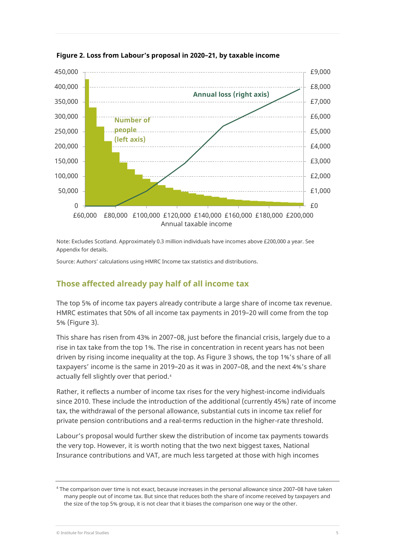

**Figure 2. Loss from Labour's proposal in 2020–21, by taxable income**

Note: Excludes Scotland. Approximately 0.3 million individuals have incomes above £200,000 a year. See Appendix for details.

Source: Authors' calculations using HMRC Income tax statistics and distributions.

#### **Those affected already pay half of all income tax**

The top 5% of income tax payers already contribute a large share of income tax revenue. HMRC estimates that 50% of all income tax payments in 2019–20 will come from the top 5% (Figure 3).

This share has risen from 43% in 2007–08, just before the financial crisis, largely due to a rise in tax take from the top 1%. The rise in concentration in recent years has not been driven by rising income inequality at the top. As Figure 3 shows, the top 1%'s share of all taxpayers' income is the same in 2019–20 as it was in 2007–08, and the next 4%'s share actually fell slightly over that period.[4](#page-5-0)

Rather, it reflects a number of income tax rises for the very highest-income individuals since 2010. These include the introduction of the additional (currently 45%) rate of income tax, the withdrawal of the personal allowance, substantial cuts in income tax relief for private pension contributions and a real-terms reduction in the higher-rate threshold.

Labour's proposal would further skew the distribution of income tax payments towards the very top. However, it is worth noting that the two next biggest taxes, National Insurance contributions and VAT, are much less targeted at those with high incomes

<span id="page-5-0"></span><sup>4</sup> The comparison over time is not exact, because increases in the personal allowance since 2007–08 have taken many people out of income tax. But since that reduces both the share of income received by taxpayers and the size of the top 5% group, it is not clear that it biases the comparison one way or the other.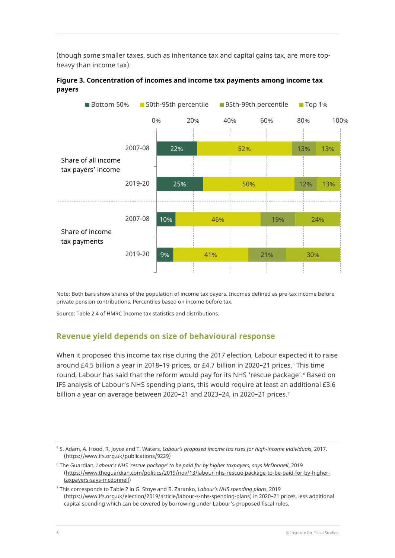(though some smaller taxes, such as inheritance tax and capital gains tax, are more topheavy than income tax).





Note: Both bars show shares of the population of income tax payers. Incomes defined as pre-tax income before private pension contributions. Percentiles based on income before tax.

Source: Table 2.4 of HMRC Income tax statistics and distributions.

#### **Revenue yield depends on size of behavioural response**

When it proposed this income tax rise during the 2017 election, Labour expected it to raise around £4.[5](#page-6-0) billion a year in 2018-19 prices, or £4.7 billion in 2020-21 prices.<sup>5</sup> This time round, Labour has said that the reform would pay for its NHS 'rescue package'.<sup>[6](#page-6-1)</sup> Based on IFS analysis of Labour's NHS spending plans, this would require at least an additional £3.6 billion a year on average between 2020-21 and 2023-24, in 2020-21 prices.<sup>[7](#page-6-2)</sup>

<span id="page-6-0"></span><sup>5</sup> S. Adam, A. Hood, R. Joyce and T. Waters, *Labour's proposed income tax rises for high-income individuals*, 2017. [\(https://www.ifs.org.uk/publications/9229\)](https://www.ifs.org.uk/publications/9229)

<span id="page-6-1"></span><sup>6</sup> The Guardian, *Labour's NHS 'rescue package' to be paid for by higher taxpayers, says McDonnell*, 2019 [\(https://www.theguardian.com/politics/2019/nov/13/labour-nhs-rescue-package-to-be-paid-for-by-higher](https://www.theguardian.com/politics/2019/nov/13/labour-nhs-rescue-package-to-be-paid-for-by-higher-taxpayers-says-mcdonnell)[taxpayers-says-mcdonnell\)](https://www.theguardian.com/politics/2019/nov/13/labour-nhs-rescue-package-to-be-paid-for-by-higher-taxpayers-says-mcdonnell)

<span id="page-6-2"></span><sup>7</sup> This corresponds to Table 2 in G. Stoye and B. Zaranko, *Labour's NHS spending plans*, 2019 [\(https://www.ifs.org.uk/election/2019/article/labour-s-nhs-spending-plans\)](https://www.ifs.org.uk/election/2019/article/labour-s-nhs-spending-plans) in 2020–21 prices, less additional capital spending which can be covered by borrowing under Labour's proposed fiscal rules.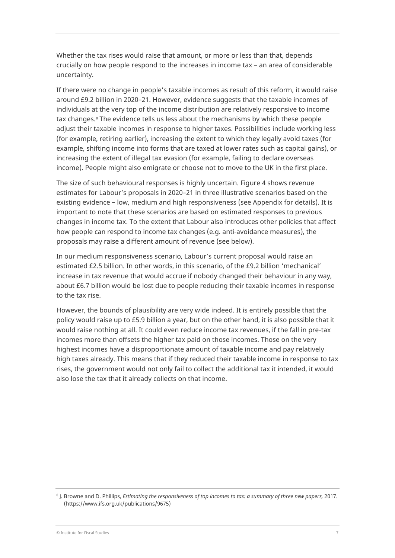Whether the tax rises would raise that amount, or more or less than that, depends crucially on how people respond to the increases in income tax – an area of considerable uncertainty.

If there were no change in people's taxable incomes as result of this reform, it would raise around £9.2 billion in 2020–21. However, evidence suggests that the taxable incomes of individuals at the very top of the income distribution are relatively responsive to income tax changes.<sup>[8](#page-7-0)</sup> The evidence tells us less about the mechanisms by which these people adjust their taxable incomes in response to higher taxes. Possibilities include working less (for example, retiring earlier), increasing the extent to which they legally avoid taxes (for example, shifting income into forms that are taxed at lower rates such as capital gains), or increasing the extent of illegal tax evasion (for example, failing to declare overseas income). People might also emigrate or choose not to move to the UK in the first place.

The size of such behavioural responses is highly uncertain. Figure 4 shows revenue estimates for Labour's proposals in 2020–21 in three illustrative scenarios based on the existing evidence – low, medium and high responsiveness (see Appendix for details). It is important to note that these scenarios are based on estimated responses to previous changes in income tax. To the extent that Labour also introduces other policies that affect how people can respond to income tax changes (e.g. anti-avoidance measures), the proposals may raise a different amount of revenue (see below).

In our medium responsiveness scenario, Labour's current proposal would raise an estimated £2.5 billion. In other words, in this scenario, of the £9.2 billion 'mechanical' increase in tax revenue that would accrue if nobody changed their behaviour in any way, about £6.7 billion would be lost due to people reducing their taxable incomes in response to the tax rise.

However, the bounds of plausibility are very wide indeed. It is entirely possible that the policy would raise up to £5.9 billion a year, but on the other hand, it is also possible that it would raise nothing at all. It could even reduce income tax revenues, if the fall in pre-tax incomes more than offsets the higher tax paid on those incomes. Those on the very highest incomes have a disproportionate amount of taxable income and pay relatively high taxes already. This means that if they reduced their taxable income in response to tax rises, the government would not only fail to collect the additional tax it intended, it would also lose the tax that it already collects on that income.

<span id="page-7-0"></span><sup>8</sup> J. Browne and D. Phillips, *Estimating the responsiveness of top incomes to tax: a summary of three new papers,* 2017. [\(https://www.ifs.org.uk/publications/9675\)](https://www.ifs.org.uk/publications/9675)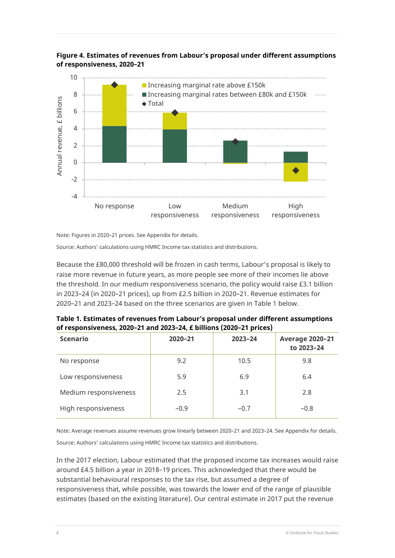



Note: Figures in 2020–21 prices. See Appendix for details.

Source: Authors' calculations using HMRC Income tax statistics and distributions.

Because the £80,000 threshold will be frozen in cash terms, Labour's proposal is likely to raise more revenue in future years, as more people see more of their incomes lie above the threshold. In our medium responsiveness scenario, the policy would raise £3.1 billion in 2023–24 (in 2020–21 prices), up from £2.5 billion in 2020–21. Revenue estimates for 2020–21 and 2023–24 based on the three scenarios are given in Table 1 below.

| Table 1. Estimates of revenues from Labour's proposal under different assumptions |  |
|-----------------------------------------------------------------------------------|--|
| of responsiveness, 2020–21 and 2023–24, £ billions (2020–21 prices)               |  |

| <b>Scenario</b>       | $2020 - 21$ | $2023 - 24$ | <b>Average 2020-21</b><br>to 2023-24 |
|-----------------------|-------------|-------------|--------------------------------------|
| No response           | 9.2         | 10.5        | 9.8                                  |
| Low responsiveness    | 5.9         | 6.9         | 6.4                                  |
| Medium responsiveness | 2.5         | 3.1         | 2.8                                  |
| High responsiveness   | $-0.9$      | $-0.7$      | $-0.8$                               |

Note: Average revenues assume revenues grow linearly between 2020–21 and 2023–24. See Appendix for details. Source: Authors' calculations using HMRC Income tax statistics and distributions.

In the 2017 election, Labour estimated that the proposed income tax increases would raise around £4.5 billion a year in 2018–19 prices. This acknowledged that there would be substantial behavioural responses to the tax rise, but assumed a degree of responsiveness that, while possible, was towards the lower end of the range of plausible estimates (based on the existing literature). Our central estimate in 2017 put the revenue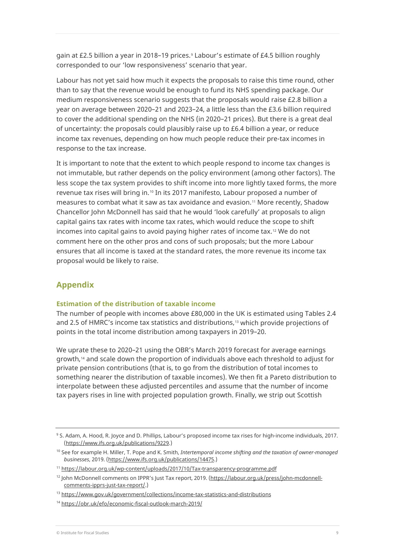gain at £2.5 billion a year in 2018–1[9](#page-9-0) prices.<sup>9</sup> Labour's estimate of £4.5 billion roughly corresponded to our 'low responsiveness' scenario that year.

Labour has not yet said how much it expects the proposals to raise this time round, other than to say that the revenue would be enough to fund its NHS spending package. Our medium responsiveness scenario suggests that the proposals would raise £2.8 billion a year on average between 2020–21 and 2023–24, a little less than the £3.6 billion required to cover the additional spending on the NHS (in 2020–21 prices). But there is a great deal of uncertainty: the proposals could plausibly raise up to £6.4 billion a year, or reduce income tax revenues, depending on how much people reduce their pre-tax incomes in response to the tax increase.

It is important to note that the extent to which people respond to income tax changes is not immutable, but rather depends on the policy environment (among other factors). The less scope the tax system provides to shift income into more lightly taxed forms, the more revenue tax rises will bring in.<sup>[10](#page-9-1)</sup> In its 2017 manifesto, Labour proposed a number of measures to combat what it saw as tax avoidance and evasion.[11](#page-9-2) More recently, Shadow Chancellor John McDonnell has said that he would 'look carefully' at proposals to align capital gains tax rates with income tax rates, which would reduce the scope to shift incomes into capital gains to avoid paying higher rates of income tax.[12](#page-9-3) We do not comment here on the other pros and cons of such proposals; but the more Labour ensures that all income is taxed at the standard rates, the more revenue its income tax proposal would be likely to raise.

## **Appendix**

#### **Estimation of the distribution of taxable income**

The number of people with incomes above £80,000 in the UK is estimated using Tables 2.4 and 2.5 of HMRC's income tax statistics and distributions,<sup>[13](#page-9-4)</sup> which provide projections of points in the total income distribution among taxpayers in 2019–20.

We uprate these to 2020–21 using the OBR's March 2019 forecast for average earnings growth,[14](#page-9-5) and scale down the proportion of individuals above each threshold to adjust for private pension contributions (that is, to go from the distribution of total incomes to something nearer the distribution of taxable incomes). We then fit a Pareto distribution to interpolate between these adjusted percentiles and assume that the number of income tax payers rises in line with projected population growth. Finally, we strip out Scottish

<span id="page-9-0"></span><sup>9</sup> S. Adam, A. Hood, R. Joyce and D. Phillips, Labour's proposed income tax rises for high-income individuals, 2017. [\(https://www.ifs.org.uk/publications/9229.\)](https://www.ifs.org.uk/publications/9229)

<span id="page-9-1"></span><sup>10</sup> See for example H. Miller, T. Pope and K. Smith, *Intertemporal income shifting and the taxation of owner-managed businesses*, 2019. [\(https://www.ifs.org.uk/publications/14475.\)](https://www.ifs.org.uk/publications/14475)

<span id="page-9-2"></span><sup>11</sup> <https://labour.org.uk/wp-content/uploads/2017/10/Tax-transparency-programme.pdf>

<span id="page-9-3"></span><sup>12</sup> John McDonnell comments on IPPR's Just Tax report, 2019. [\(https://labour.org.uk/press/john-mcdonnell](https://labour.org.uk/press/john-mcdonnell-comments-ipprs-just-tax-report/)[comments-ipprs-just-tax-report/.\)](https://labour.org.uk/press/john-mcdonnell-comments-ipprs-just-tax-report/)

<span id="page-9-4"></span><sup>13</sup> <https://www.gov.uk/government/collections/income-tax-statistics-and-distributions>

<span id="page-9-5"></span><sup>14</sup> <https://obr.uk/efo/economic-fiscal-outlook-march-2019/>